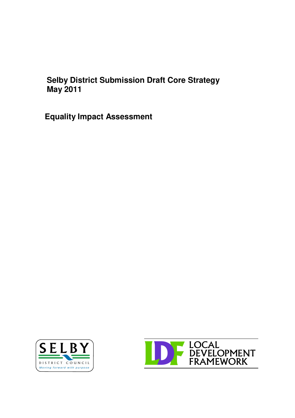## **Selby District Submission Draft Core Strategy May 2011**

**Equality Impact Assessment**



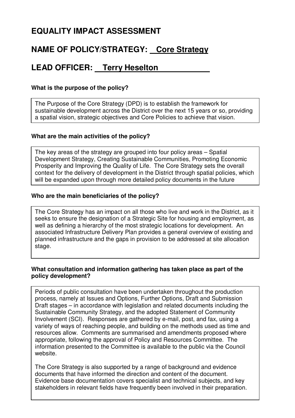## **EQUALITY IMPACT ASSESSMENT**

## **NAME OF POLICY/STRATEGY: Core Strategy**

## **LEAD OFFICER: Terry Heselton**

#### **What is the purpose of the policy?**

The Purpose of the Core Strategy (DPD) is to establish the framework for sustainable development across the District over the next 15 years or so, providing a spatial vision, strategic objectives and Core Policies to achieve that vision.

#### **What are the main activities of the policy?**

The key areas of the strategy are grouped into four policy areas – Spatial Development Strategy, Creating Sustainable Communities, Promoting Economic Prosperity and Improving the Quality of Life. The Core Strategy sets the overall context for the delivery of development in the District through spatial policies, which will be expanded upon through more detailed policy documents in the future

#### **Who are the main beneficiaries of the policy?**

The Core Strategy has an impact on all those who live and work in the District, as it seeks to ensure the designation of a Strategic Site for housing and employment, as well as defining a hierarchy of the most strategic locations for development. An associated Infrastructure Delivery Plan provides a general overview of existing and planned infrastructure and the gaps in provision to be addressed at site allocation stage.

#### **What consultation and information gathering has taken place as part of the policy development?**

Periods of public consultation have been undertaken throughout the production process, namely at Issues and Options, Further Options, Draft and Submission Draft stages – in accordance with legislation and related documents including the Sustainable Community Strategy, and the adopted Statement of Community Involvement (SCI). Responses are gathered by e-mail, post, and fax, using a variety of ways of reaching people, and building on the methods used as time and resources allow. Comments are summarised and amendments proposed where appropriate, following the approval of Policy and Resources Committee. The information presented to the Committee is available to the public via the Council website.

**Howard Boxes Roof Existence because decumentation** The Core Strategy is also supported by a range of background and evidence documents that have informed the direction and content of the document. Evidence base documentation covers specialist and technical subjects, and key stakeholders in relevant fields have frequently been involved in their preparation.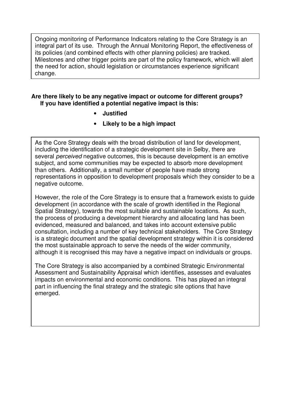Ongoing monitoring of Performance Indicators relating to the Core Strategy is an integral part of its use. Through the Annual Monitoring Report, the effectiveness of its policies (and combined effects with other planning policies) are tracked. Milestones and other trigger points are part of the policy framework, which will alert the need for action, should legislation or circumstances experience significant change.

#### **Are there likely to be any negative impact or outcome for different groups? If you have identified a potential negative impact is this:**

• **Justified**

**What is the review period for this policy?**

• **Likely to be a high impact**

**Subject, and some communities may be expected to absorb more development** As the Core Strategy deals with the broad distribution of land for development, including the identification of a strategic development site in Selby, there are several *perceived* negative outcomes, this is because development is an emotive than others. Additionally, a small number of people have made strong representations in opposition to development proposals which they consider to be a negative outcome.

However, the role of the Core Strategy is to ensure that a framework exists to guide development (in accordance with the scale of growth identified in the Regional Spatial Strategy), towards the most suitable and sustainable locations. As such, the process of producing a development hierarchy and allocating land has been evidenced, measured and balanced, and takes into account extensive public consultation, including a number of key technical stakeholders. The Core Strategy is a strategic document and the spatial development strategy within it is considered the most sustainable approach to serve the needs of the wider community, although it is recognised this may have a negative impact on individuals or groups.

The Core Strategy is also accompanied by a combined Strategic Environmental Assessment and Sustainability Appraisal which identifies, assesses and evaluates impacts on environmental and economic conditions. This has played an integral part in influencing the final strategy and the strategic site options that have emerged.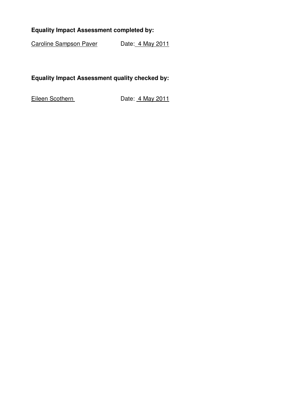### **Equality Impact Assessment completed by:**

Caroline Sampson Paver Date: 4 May 2011

#### **Equality Impact Assessment quality checked by:**

Eileen Scothern Date: 4 May 2011